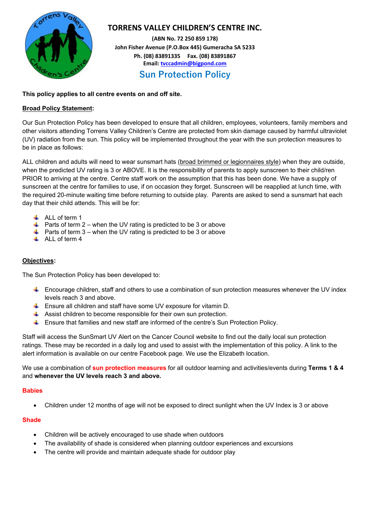

# **TORRENS VALLEY CHILDREN'S CENTRE INC.**

**(ABN No. 72 250 859 178) John Fisher Avenue (P.O.Box 445) Gumeracha SA 5233 Ph. (08) 83891335 Fax. (08) 83891867 Email[: tvccadmin@bigpond.com](mailto:tvccadmin@bigpond.com) Sun Protection Policy**

## **This policy applies to all centre events on and off site.**

## **Broad Policy Statement:**

Our Sun Protection Policy has been developed to ensure that all children, employees, volunteers, family members and other visitors attending Torrens Valley Children's Centre are protected from skin damage caused by harmful ultraviolet (UV) radiation from the sun. This policy will be implemented throughout the year with the sun protection measures to be in place as follows:

ALL children and adults will need to wear sunsmart hats (broad brimmed or legionnaires style) when they are outside, when the predicted UV rating is 3 or ABOVE. It is the responsibility of parents to apply sunscreen to their child/ren PRIOR to arriving at the centre. Centre staff work on the assumption that this has been done. We have a supply of sunscreen at the centre for families to use, if on occasion they forget. Sunscreen will be reapplied at lunch time, with the required 20-minute waiting time before returning to outside play. Parents are asked to send a sunsmart hat each day that their child attends. This will be for:

- $\downarrow$  ALL of term 1
- $\ddot{\bullet}$  Parts of term 2 when the UV rating is predicted to be 3 or above
- $\overline{\phantom{a} \overline{\phantom{a}}}$  Parts of term 3 when the UV rating is predicted to be 3 or above
- $\overline{\phantom{a}}$  ALL of term 4

## **Objectives:**

The Sun Protection Policy has been developed to:

- $\ddot{\phantom{1}}$  Encourage children, staff and others to use a combination of sun protection measures whenever the UV index levels reach 3 and above.
- Ensure all children and staff have some UV exposure for vitamin D.
- $\ddot{+}$  Assist children to become responsible for their own sun protection.
- $\ddot{\phantom{1}}$  Ensure that families and new staff are informed of the centre's Sun Protection Policy.

Staff will access the SunSmart UV Alert on the Cancer Council website to find out the daily local sun protection ratings. These may be recorded in a daily log and used to assist with the implementation of this policy. A link to the alert information is available on our centre Facebook page. We use the Elizabeth location.

We use a combination of **sun protection measures** for all outdoor learning and activities/events during **Terms 1 & 4**  and **whenever the UV levels reach 3 and above.**

### **Babies**

• Children under 12 months of age will not be exposed to direct sunlight when the UV Index is 3 or above

### **Shade**

- Children will be actively encouraged to use shade when outdoors
- The availability of shade is considered when planning outdoor experiences and excursions
- The centre will provide and maintain adequate shade for outdoor play